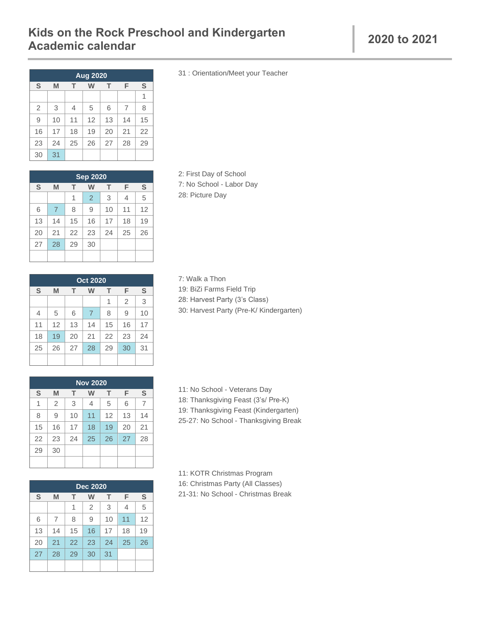## **Kids on the Rock Preschool and Kindergarten Academic calendar <sup>2020</sup> to 2021**

| <b>Aug 2020</b> |                            |                |    |    |    |    |  |  |
|-----------------|----------------------------|----------------|----|----|----|----|--|--|
| S               | S<br>F<br>M<br>т<br>т<br>W |                |    |    |    |    |  |  |
|                 |                            |                |    |    |    | 1  |  |  |
| $\overline{2}$  | 3                          | $\overline{4}$ | 5  | 6  | 7  | 8  |  |  |
| 9               | 10                         | 11             | 12 | 13 | 14 | 15 |  |  |
| 16              | 17                         | 18             | 19 | 20 | 21 | 22 |  |  |
| 23              | 24                         | 25             | 26 | 27 | 28 | 29 |  |  |
| 30              | 31                         |                |    |    |    |    |  |  |

| <b>Sep 2020</b> |                |    |    |    |    |    |  |  |  |
|-----------------|----------------|----|----|----|----|----|--|--|--|
| S               | M              | т  | W  | т  | F  | S  |  |  |  |
|                 |                | 1  | 2  | 3  | 4  | 5  |  |  |  |
| 6               | $\overline{7}$ | 8  | 9  | 10 | 11 | 12 |  |  |  |
| 13              | 14             | 15 | 16 | 17 | 18 | 19 |  |  |  |
| 20              | 21             | 22 | 23 | 24 | 25 | 26 |  |  |  |
| 27              | 28             | 29 | 30 |    |    |    |  |  |  |
|                 |                |    |    |    |    |    |  |  |  |

2: First Day of School 7: No School - Labor Day 28: Picture Day

7: Walk a Thon

|                                 | <b>Oct 2020</b> |    |                |    |                |    |  |  |  |
|---------------------------------|-----------------|----|----------------|----|----------------|----|--|--|--|
| S<br>F<br>S<br>M<br>т<br>т<br>w |                 |    |                |    |                |    |  |  |  |
|                                 |                 |    |                | 1  | $\overline{2}$ | 3  |  |  |  |
| $\overline{4}$                  | 5               | 6  | $\overline{7}$ | 8  | 9              | 10 |  |  |  |
| 11                              | 12              | 13 | 14             | 15 | 16             | 17 |  |  |  |
| 18                              | 19              | 20 | 21             | 22 | 23             | 24 |  |  |  |
| 25                              | 26              | 27 | 28             | 29 | 30             | 31 |  |  |  |
|                                 |                 |    |                |    |                |    |  |  |  |

19: BiZi Farms Field Trip 28: Harvest Party (3's Class) 30: Harvest Party (Pre-K/ Kindergarten)

| <b>Nov 2020</b> |                |    |    |    |    |    |  |  |  |
|-----------------|----------------|----|----|----|----|----|--|--|--|
| S               | M              | т  | W  | т  | F  | S  |  |  |  |
| 1               | $\overline{2}$ | 3  | 4  | 5  | 6  | 7  |  |  |  |
| 8               | 9              | 10 | 11 | 12 | 13 | 14 |  |  |  |
| 15              | 16             | 17 | 18 | 19 | 20 | 21 |  |  |  |
| 22              | 23             | 24 | 25 | 26 | 27 | 28 |  |  |  |
| 29              | 30             |    |    |    |    |    |  |  |  |
|                 |                |    |    |    |    |    |  |  |  |

| <b>Dec 2020</b> |                            |    |    |    |    |    |  |  |
|-----------------|----------------------------|----|----|----|----|----|--|--|
| S               | S<br>F<br>M<br>т<br>т<br>W |    |    |    |    |    |  |  |
|                 |                            | 1  | 2  | 3  | 4  | 5  |  |  |
| 6               | $\overline{7}$             | 8  | 9  | 10 | 11 | 12 |  |  |
| 13              | 14                         | 15 | 16 | 17 | 18 | 19 |  |  |
| 20              | 21                         | 22 | 23 | 24 | 25 | 26 |  |  |
| 27              | 28                         | 29 | 30 | 31 |    |    |  |  |
|                 |                            |    |    |    |    |    |  |  |

18: Thanksgiving Feast (3's/ Pre-K) 19: Thanksgiving Feast (Kindergarten)

11: No School - Veterans Day

25-27: No School - Thanksgiving Break

11: KOTR Christmas Program 16: Christmas Party (All Classes) 21-31: No School - Christmas Break